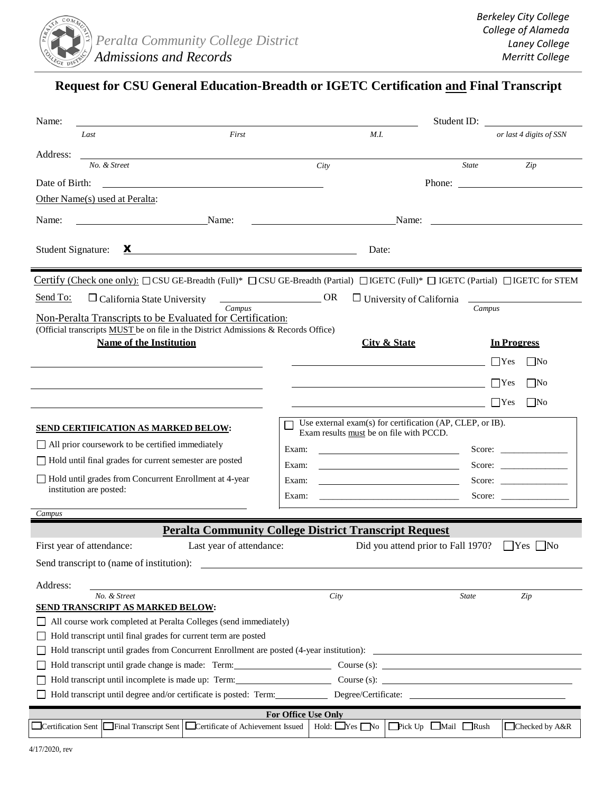

# **Request for CSU General Education-Breadth or IGETC Certification and Final Transcript**

| Name:                                                                                                                                                                                                                                                                                                                                               |                     |                                                            |                                        |              | Student ID:            |                         |  |
|-----------------------------------------------------------------------------------------------------------------------------------------------------------------------------------------------------------------------------------------------------------------------------------------------------------------------------------------------------|---------------------|------------------------------------------------------------|----------------------------------------|--------------|------------------------|-------------------------|--|
| Last                                                                                                                                                                                                                                                                                                                                                | First               | M.I.                                                       |                                        |              |                        | or last 4 digits of SSN |  |
| Address:                                                                                                                                                                                                                                                                                                                                            |                     |                                                            |                                        |              |                        |                         |  |
| No. & Street                                                                                                                                                                                                                                                                                                                                        |                     | City                                                       |                                        | <b>State</b> |                        | Zip                     |  |
| Date of Birth:<br><u> 1980 - Jan Samuel Barbara, margaret eta idazlea (h. 1980).</u>                                                                                                                                                                                                                                                                |                     |                                                            |                                        |              |                        | Phone:                  |  |
| Other Name(s) used at Peralta:                                                                                                                                                                                                                                                                                                                      |                     |                                                            |                                        |              |                        |                         |  |
| Name:<br>Name:                                                                                                                                                                                                                                                                                                                                      |                     |                                                            |                                        |              |                        |                         |  |
| Student Signature:<br>$\mathbf{x}$ and $\mathbf{x}$ and $\mathbf{x}$ and $\mathbf{x}$ and $\mathbf{x}$ and $\mathbf{x}$ and $\mathbf{x}$ and $\mathbf{x}$ and $\mathbf{x}$ and $\mathbf{x}$ and $\mathbf{x}$ and $\mathbf{x}$ and $\mathbf{x}$ and $\mathbf{x}$ and $\mathbf{x}$ and $\mathbf{x}$ and $\mathbf{x}$ and $\mathbf{x}$ and $\mathbf{x$ |                     |                                                            |                                        | Date:        |                        |                         |  |
| Certify (Check one only): $\Box$ CSU GE-Breadth (Full)* $\Box$ CSU GE-Breadth (Partial) $\Box$ IGETC (Full)* $\Box$ IGETC (Partial) $\Box$ IGETC for STEM                                                                                                                                                                                           |                     |                                                            |                                        |              |                        |                         |  |
| Send To:<br>$\Box$ California State University                                                                                                                                                                                                                                                                                                      | <b>Example 2008</b> |                                                            | $\Box$ University of California $\Box$ |              |                        |                         |  |
| Campus<br>Campus<br>Non-Peralta Transcripts to be Evaluated for Certification:                                                                                                                                                                                                                                                                      |                     |                                                            |                                        |              |                        |                         |  |
| (Official transcripts MUST be on file in the District Admissions & Records Office)                                                                                                                                                                                                                                                                  |                     |                                                            |                                        |              |                        |                         |  |
| <b>Name of the Institution</b>                                                                                                                                                                                                                                                                                                                      |                     |                                                            | <b>City &amp; State</b>                |              | <b>In Progress</b>     |                         |  |
|                                                                                                                                                                                                                                                                                                                                                     |                     |                                                            |                                        |              | $\Box$ Yes             | $\mid$ No               |  |
|                                                                                                                                                                                                                                                                                                                                                     |                     |                                                            |                                        |              | $\Box$ Yes             | No                      |  |
|                                                                                                                                                                                                                                                                                                                                                     |                     |                                                            |                                        |              |                        |                         |  |
|                                                                                                                                                                                                                                                                                                                                                     |                     |                                                            |                                        |              | $ $ Yes                | No                      |  |
| Use external exam(s) for certification (AP, CLEP, or IB).<br><b>SEND CERTIFICATION AS MARKED BELOW:</b><br>Exam results must be on file with PCCD.                                                                                                                                                                                                  |                     |                                                            |                                        |              |                        |                         |  |
| All prior coursework to be certified immediately                                                                                                                                                                                                                                                                                                    |                     | Exam:<br><u> 1989 - Johann Barnett, fransk politiker (</u> |                                        |              | Score: $\qquad \qquad$ |                         |  |
| Hold until final grades for current semester are posted                                                                                                                                                                                                                                                                                             | Exam:               |                                                            |                                        |              | Score:                 |                         |  |
| Hold until grades from Concurrent Enrollment at 4-year<br>institution are posted:                                                                                                                                                                                                                                                                   | Exam:               |                                                            |                                        |              | Score: $\qquad \qquad$ |                         |  |
|                                                                                                                                                                                                                                                                                                                                                     | Exam:               |                                                            |                                        |              | Score:                 |                         |  |
| Campus                                                                                                                                                                                                                                                                                                                                              |                     |                                                            |                                        |              |                        |                         |  |
| <b>Peralta Community College District Transcript Request</b>                                                                                                                                                                                                                                                                                        |                     |                                                            |                                        |              |                        |                         |  |
| Last year of attendance:<br>Did you attend prior to Fall 1970?<br>First year of attendance:<br>$ Yes $   No                                                                                                                                                                                                                                         |                     |                                                            |                                        |              |                        |                         |  |
| Send transcript to (name of institution):                                                                                                                                                                                                                                                                                                           |                     |                                                            |                                        |              |                        |                         |  |
| Address:                                                                                                                                                                                                                                                                                                                                            |                     |                                                            |                                        |              |                        |                         |  |
| No. & Street                                                                                                                                                                                                                                                                                                                                        |                     | City                                                       |                                        | <b>State</b> |                        | Zip                     |  |
| <b>SEND TRANSCRIPT AS MARKED BELOW:</b>                                                                                                                                                                                                                                                                                                             |                     |                                                            |                                        |              |                        |                         |  |
| All course work completed at Peralta Colleges (send immediately)<br>Hold transcript until final grades for current term are posted                                                                                                                                                                                                                  |                     |                                                            |                                        |              |                        |                         |  |
| Hold transcript until grades from Concurrent Enrollment are posted (4-year institution):                                                                                                                                                                                                                                                            |                     |                                                            |                                        |              |                        |                         |  |
| Hold transcript until grade change is made: Term: Course (s): Course (s):                                                                                                                                                                                                                                                                           |                     |                                                            |                                        |              |                        |                         |  |
| Hold transcript until incomplete is made up: Term: Course (s): Course (s):                                                                                                                                                                                                                                                                          |                     |                                                            |                                        |              |                        |                         |  |
| Hold transcript until degree and/or certificate is posted: Term: Degree/Certificate: ______________                                                                                                                                                                                                                                                 |                     |                                                            |                                        |              |                        |                         |  |
| For Office Use Only                                                                                                                                                                                                                                                                                                                                 |                     |                                                            |                                        |              |                        |                         |  |
| □ Certification Sent Final Transcript Sent Certificate of Achievement Issued<br>Hold: $\Box$ Yes $\Box$ No<br>$\Box$ Pick Up $\Box$ Mail $\Box$ Rush<br>Checked by A&R                                                                                                                                                                              |                     |                                                            |                                        |              |                        |                         |  |
|                                                                                                                                                                                                                                                                                                                                                     |                     |                                                            |                                        |              |                        |                         |  |